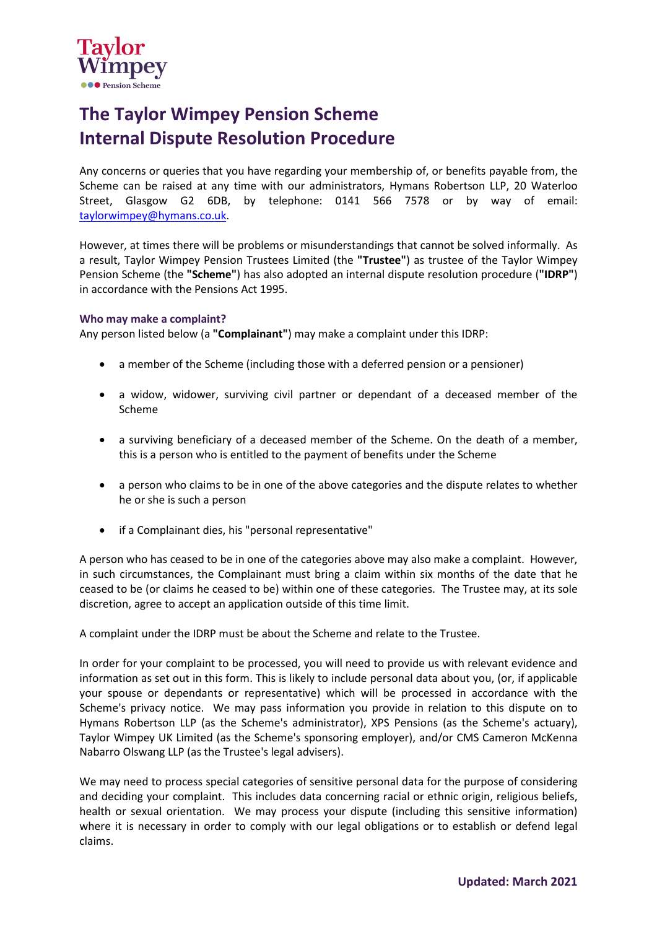

# **The Taylor Wimpey Pension Scheme Internal Dispute Resolution Procedure**

Any concerns or queries that you have regarding your membership of, or benefits payable from, the Scheme can be raised at any time with our administrators, Hymans Robertson LLP, 20 Waterloo Street, Glasgow G2 6DB, by telephone: 0141 566 7578 or by way of email: [taylorwimpey@hymans.co.uk.](mailto:taylorwimpey@hymans.co.uk)

However, at times there will be problems or misunderstandings that cannot be solved informally. As a result, Taylor Wimpey Pension Trustees Limited (the **"Trustee"**) as trustee of the Taylor Wimpey Pension Scheme (the **"Scheme"**) has also adopted an internal dispute resolution procedure (**"IDRP"**) in accordance with the Pensions Act 1995.

# **Who may make a complaint?**

Any person listed below (a **"Complainant"**) may make a complaint under this IDRP:

- a member of the Scheme (including those with a deferred pension or a pensioner)
- a widow, widower, surviving civil partner or dependant of a deceased member of the Scheme
- a surviving beneficiary of a deceased member of the Scheme. On the death of a member, this is a person who is entitled to the payment of benefits under the Scheme
- a person who claims to be in one of the above categories and the dispute relates to whether he or she is such a person
- if a Complainant dies, his "personal representative"

A person who has ceased to be in one of the categories above may also make a complaint. However, in such circumstances, the Complainant must bring a claim within six months of the date that he ceased to be (or claims he ceased to be) within one of these categories. The Trustee may, at its sole discretion, agree to accept an application outside of this time limit.

A complaint under the IDRP must be about the Scheme and relate to the Trustee.

In order for your complaint to be processed, you will need to provide us with relevant evidence and information as set out in this form. This is likely to include personal data about you, (or, if applicable your spouse or dependants or representative) which will be processed in accordance with the Scheme's privacy notice. We may pass information you provide in relation to this dispute on to Hymans Robertson LLP (as the Scheme's administrator), XPS Pensions (as the Scheme's actuary), Taylor Wimpey UK Limited (as the Scheme's sponsoring employer), and/or CMS Cameron McKenna Nabarro Olswang LLP (as the Trustee's legal advisers).

We may need to process special categories of sensitive personal data for the purpose of considering and deciding your complaint. This includes data concerning racial or ethnic origin, religious beliefs, health or sexual orientation. We may process your dispute (including this sensitive information) where it is necessary in order to comply with our legal obligations or to establish or defend legal claims.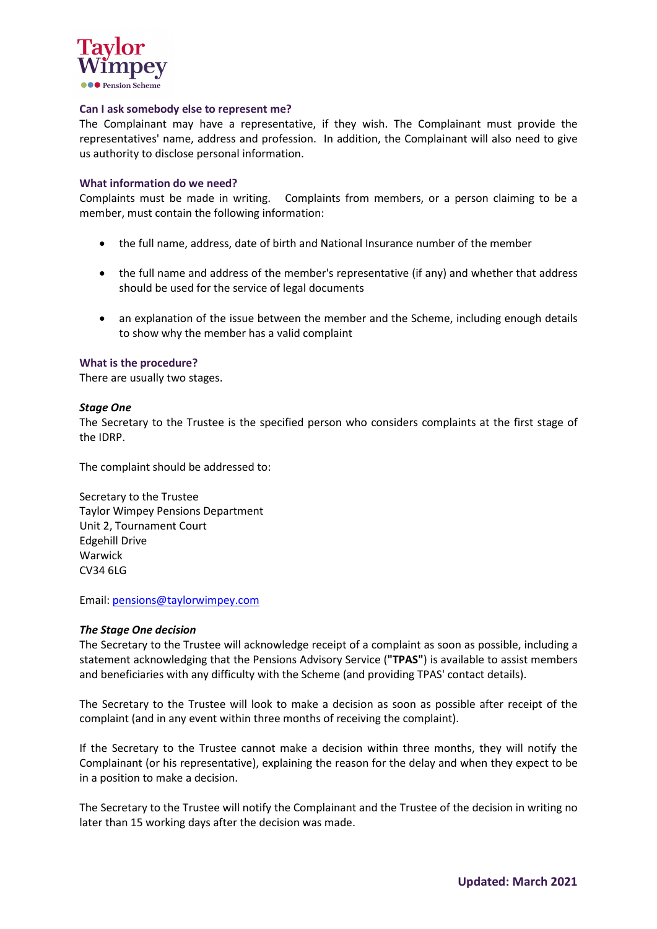

## **Can I ask somebody else to represent me?**

The Complainant may have a representative, if they wish. The Complainant must provide the representatives' name, address and profession. In addition, the Complainant will also need to give us authority to disclose personal information.

#### **What information do we need?**

Complaints must be made in writing. Complaints from members, or a person claiming to be a member, must contain the following information:

- the full name, address, date of birth and National Insurance number of the member
- the full name and address of the member's representative (if any) and whether that address should be used for the service of legal documents
- an explanation of the issue between the member and the Scheme, including enough details to show why the member has a valid complaint

## **What is the procedure?**

There are usually two stages.

## *Stage One*

The Secretary to the Trustee is the specified person who considers complaints at the first stage of the IDRP.

The complaint should be addressed to:

Secretary to the Trustee Taylor Wimpey Pensions Department Unit 2, Tournament Court Edgehill Drive Warwick CV34 6LG

Email: [pensions@taylorwimpey.com](mailto:pensions@taylorwimpey.com)

#### *The Stage One decision*

The Secretary to the Trustee will acknowledge receipt of a complaint as soon as possible, including a statement acknowledging that the Pensions Advisory Service (**"TPAS"**) is available to assist members and beneficiaries with any difficulty with the Scheme (and providing TPAS' contact details).

The Secretary to the Trustee will look to make a decision as soon as possible after receipt of the complaint (and in any event within three months of receiving the complaint).

If the Secretary to the Trustee cannot make a decision within three months, they will notify the Complainant (or his representative), explaining the reason for the delay and when they expect to be in a position to make a decision.

The Secretary to the Trustee will notify the Complainant and the Trustee of the decision in writing no later than 15 working days after the decision was made.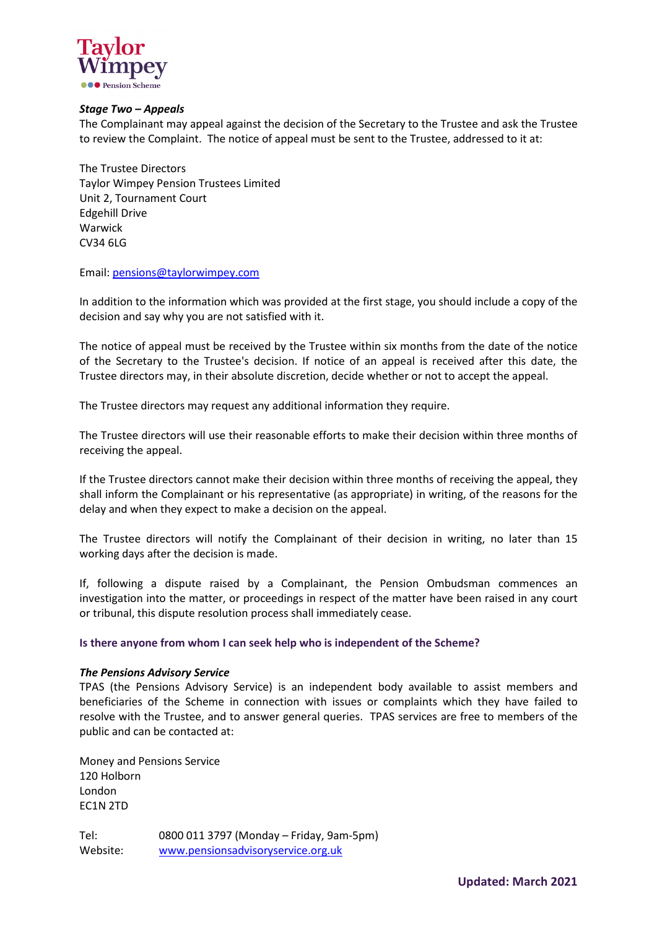

## *Stage Two – Appeals*

The Complainant may appeal against the decision of the Secretary to the Trustee and ask the Trustee to review the Complaint. The notice of appeal must be sent to the Trustee, addressed to it at:

The Trustee Directors Taylor Wimpey Pension Trustees Limited Unit 2, Tournament Court Edgehill Drive Warwick CV34 6LG

Email: [pensions@taylorwimpey.com](mailto:pensions@taylorwimpey.com)

In addition to the information which was provided at the first stage, you should include a copy of the decision and say why you are not satisfied with it.

The notice of appeal must be received by the Trustee within six months from the date of the notice of the Secretary to the Trustee's decision. If notice of an appeal is received after this date, the Trustee directors may, in their absolute discretion, decide whether or not to accept the appeal.

The Trustee directors may request any additional information they require.

The Trustee directors will use their reasonable efforts to make their decision within three months of receiving the appeal.

If the Trustee directors cannot make their decision within three months of receiving the appeal, they shall inform the Complainant or his representative (as appropriate) in writing, of the reasons for the delay and when they expect to make a decision on the appeal.

The Trustee directors will notify the Complainant of their decision in writing, no later than 15 working days after the decision is made.

If, following a dispute raised by a Complainant, the Pension Ombudsman commences an investigation into the matter, or proceedings in respect of the matter have been raised in any court or tribunal, this dispute resolution process shall immediately cease.

**Is there anyone from whom I can seek help who is independent of the Scheme?**

#### *The Pensions Advisory Service*

TPAS (the Pensions Advisory Service) is an independent body available to assist members and beneficiaries of the Scheme in connection with issues or complaints which they have failed to resolve with the Trustee, and to answer general queries. TPAS services are free to members of the public and can be contacted at:

Money and Pensions Service 120 Holborn London EC1N 2TD

Tel: 0800 011 3797 (Monday – Friday, 9am-5pm) Website: [www.pensionsadvisoryservice.org.uk](http://www.pensionsadvisoryservice.org.uk/)